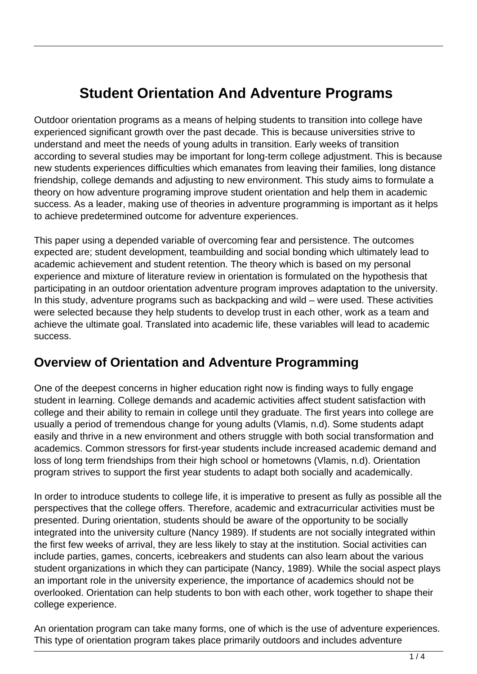# **Student Orientation And Adventure Programs**

Outdoor orientation programs as a means of helping students to transition into college have experienced significant growth over the past decade. This is because universities strive to understand and meet the needs of young adults in transition. Early weeks of transition according to several studies may be important for long-term college adjustment. This is because new students experiences difficulties which emanates from leaving their families, long distance friendship, college demands and adjusting to new environment. This study aims to formulate a theory on how adventure programing improve student orientation and help them in academic success. As a leader, making use of theories in adventure programming is important as it helps to achieve predetermined outcome for adventure experiences.

This paper using a depended variable of overcoming fear and persistence. The outcomes expected are; student development, teambuilding and social bonding which ultimately lead to academic achievement and student retention. The theory which is based on my personal experience and mixture of literature review in orientation is formulated on the hypothesis that participating in an outdoor orientation adventure program improves adaptation to the university. In this study, adventure programs such as backpacking and wild – were used. These activities were selected because they help students to develop trust in each other, work as a team and achieve the ultimate goal. Translated into academic life, these variables will lead to academic success.

### **Overview of Orientation and Adventure Programming**

One of the deepest concerns in higher education right now is finding ways to fully engage student in learning. College demands and academic activities affect student satisfaction with college and their ability to remain in college until they graduate. The first years into college are usually a period of tremendous change for young adults (Vlamis, n.d). Some students adapt easily and thrive in a new environment and others struggle with both social transformation and academics. Common stressors for first-year students include increased academic demand and loss of long term friendships from their high school or hometowns (Vlamis, n.d). Orientation program strives to support the first year students to adapt both socially and academically.

In order to introduce students to college life, it is imperative to present as fully as possible all the perspectives that the college offers. Therefore, academic and extracurricular activities must be presented. During orientation, students should be aware of the opportunity to be socially integrated into the university culture (Nancy 1989). If students are not socially integrated within the first few weeks of arrival, they are less likely to stay at the institution. Social activities can include parties, games, concerts, icebreakers and students can also learn about the various student organizations in which they can participate (Nancy, 1989). While the social aspect plays an important role in the university experience, the importance of academics should not be overlooked. Orientation can help students to bon with each other, work together to shape their college experience.

An orientation program can take many forms, one of which is the use of adventure experiences. This type of orientation program takes place primarily outdoors and includes adventure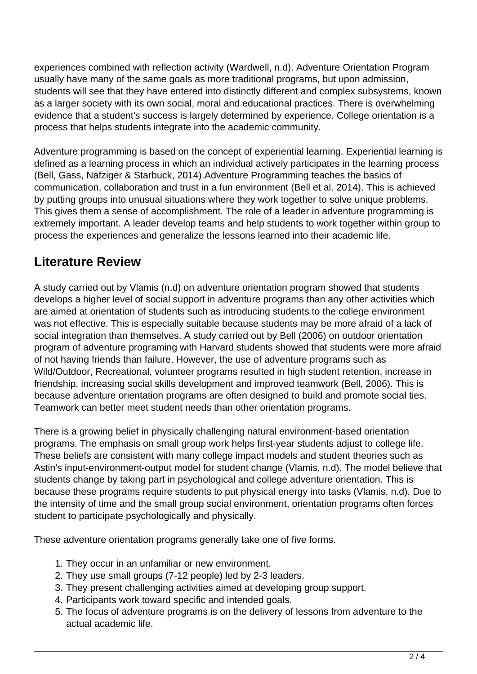experiences combined with reflection activity (Wardwell, n.d). Adventure Orientation Program usually have many of the same goals as more traditional programs, but upon admission, students will see that they have entered into distinctly different and complex subsystems, known as a larger society with its own social, moral and educational practices. There is overwhelming evidence that a student's success is largely determined by experience. College orientation is a process that helps students integrate into the academic community.

Adventure programming is based on the concept of experiential learning. Experiential learning is defined as a learning process in which an individual actively participates in the learning process (Bell, Gass, Nafziger & Starbuck, 2014).Adventure Programming teaches the basics of communication, collaboration and trust in a fun environment (Bell et al. 2014). This is achieved by putting groups into unusual situations where they work together to solve unique problems. This gives them a sense of accomplishment. The role of a leader in adventure programming is extremely important. A leader develop teams and help students to work together within group to process the experiences and generalize the lessons learned into their academic life.

### **Literature Review**

A study carried out by Vlamis (n.d) on adventure orientation program showed that students develops a higher level of social support in adventure programs than any other activities which are aimed at orientation of students such as introducing students to the college environment was not effective. This is especially suitable because students may be more afraid of a lack of social integration than themselves. A study carried out by Bell (2006) on outdoor orientation program of adventure programing with Harvard students showed that students were more afraid of not having friends than failure. However, the use of adventure programs such as Wild/Outdoor, Recreational, volunteer programs resulted in high student retention, increase in friendship, increasing social skills development and improved teamwork (Bell, 2006). This is because adventure orientation programs are often designed to build and promote social ties. Teamwork can better meet student needs than other orientation programs.

There is a growing belief in physically challenging natural environment-based orientation programs. The emphasis on small group work helps first-year students adjust to college life. These beliefs are consistent with many college impact models and student theories such as Astin's input-environment-output model for student change (Vlamis, n.d). The model believe that students change by taking part in psychological and college adventure orientation. This is because these programs require students to put physical energy into tasks (Vlamis, n.d). Due to the intensity of time and the small group social environment, orientation programs often forces student to participate psychologically and physically.

These adventure orientation programs generally take one of five forms.

- 1. They occur in an unfamiliar or new environment.
- 2. They use small groups (7-12 people) led by 2-3 leaders.
- 3. They present challenging activities aimed at developing group support.
- 4. Participants work toward specific and intended goals.
- 5. The focus of adventure programs is on the delivery of lessons from adventure to the actual academic life.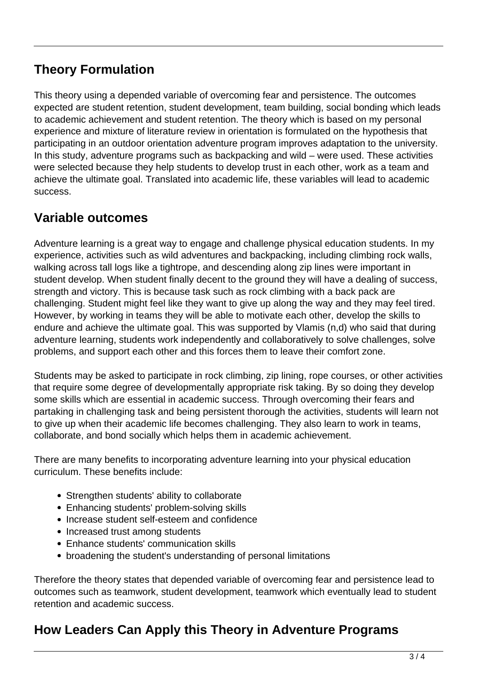### **Theory Formulation**

This theory using a depended variable of overcoming fear and persistence. The outcomes expected are student retention, student development, team building, social bonding which leads to academic achievement and student retention. The theory which is based on my personal experience and mixture of literature review in orientation is formulated on the hypothesis that participating in an outdoor orientation adventure program improves adaptation to the university. In this study, adventure programs such as backpacking and wild – were used. These activities were selected because they help students to develop trust in each other, work as a team and achieve the ultimate goal. Translated into academic life, these variables will lead to academic success.

### **Variable outcomes**

Adventure learning is a great way to engage and challenge physical education students. In my experience, activities such as wild adventures and backpacking, including climbing rock walls, walking across tall logs like a tightrope, and descending along zip lines were important in student develop. When student finally decent to the ground they will have a dealing of success, strength and victory. This is because task such as rock climbing with a back pack are challenging. Student might feel like they want to give up along the way and they may feel tired. However, by working in teams they will be able to motivate each other, develop the skills to endure and achieve the ultimate goal. This was supported by Vlamis (n,d) who said that during adventure learning, students work independently and collaboratively to solve challenges, solve problems, and support each other and this forces them to leave their comfort zone.

Students may be asked to participate in rock climbing, zip lining, rope courses, or other activities that require some degree of developmentally appropriate risk taking. By so doing they develop some skills which are essential in academic success. Through overcoming their fears and partaking in challenging task and being persistent thorough the activities, students will learn not to give up when their academic life becomes challenging. They also learn to work in teams, collaborate, and bond socially which helps them in academic achievement.

There are many benefits to incorporating adventure learning into your physical education curriculum. These benefits include:

- Strengthen students' ability to collaborate
- Enhancing students' problem-solving skills
- Increase student self-esteem and confidence
- Increased trust among students
- Enhance students' communication skills
- broadening the student's understanding of personal limitations

Therefore the theory states that depended variable of overcoming fear and persistence lead to outcomes such as teamwork, student development, teamwork which eventually lead to student retention and academic success.

## **How Leaders Can Apply this Theory in Adventure Programs**